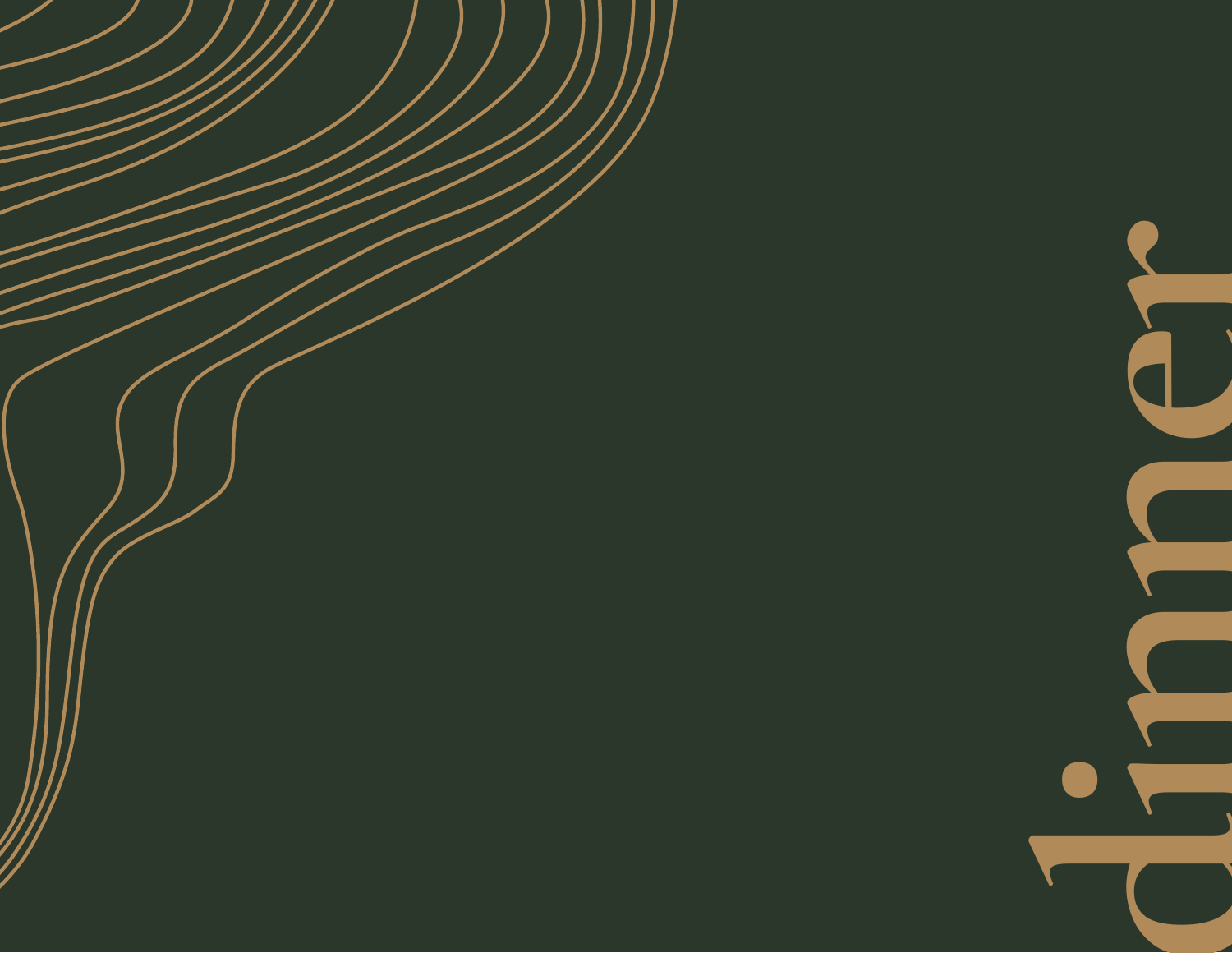